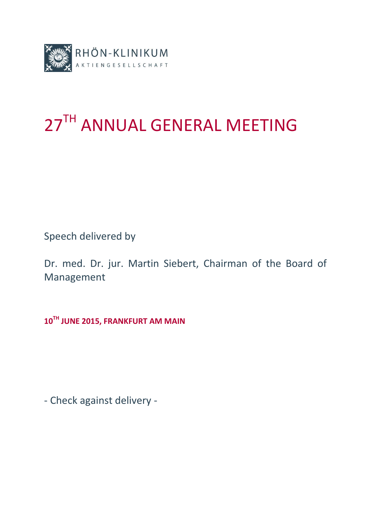

# 27TH ANNUAL GENERAL MEETING

Speech delivered by

Dr. med. Dr. jur. Martin Siebert, Chairman of the Board of Management

**10 TH JUNE 2015, FRANKFURT AM MAIN**

- Check against delivery -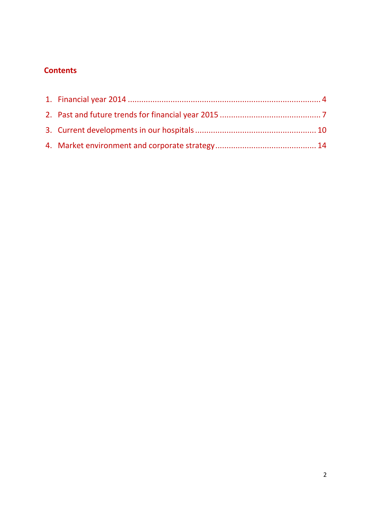# **Contents**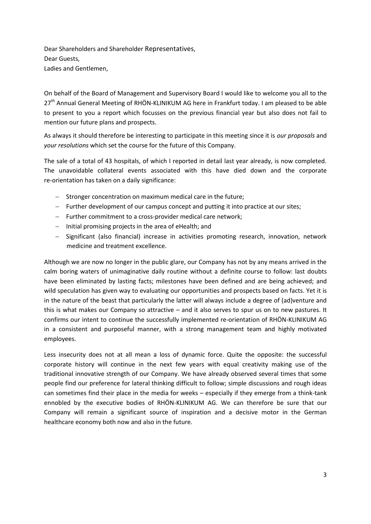Dear Shareholders and Shareholder Representatives, Dear Guests, Ladies and Gentlemen,

On behalf of the Board of Management and Supervisory Board I would like to welcome you all to the 27<sup>th</sup> Annual General Meeting of RHÖN-KLINIKUM AG here in Frankfurt today. I am pleased to be able to present to you a report which focusses on the previous financial year but also does not fail to mention our future plans and prospects.

As always it should therefore be interesting to participate in this meeting since it is *our proposals* and *your resolutions* which set the course for the future of this Company.

The sale of a total of 43 hospitals, of which I reported in detail last year already, is now completed. The unavoidable collateral events associated with this have died down and the corporate re-orientation has taken on a daily significance:

- Stronger concentration on maximum medical care in the future;
- Further development of our campus concept and putting it into practice at our sites;
- $-$  Further commitment to a cross-provider medical care network;
- $-$  Initial promising projects in the area of eHealth; and
- Significant (also financial) increase in activities promoting research, innovation, network medicine and treatment excellence.

Although we are now no longer in the public glare, our Company has not by any means arrived in the calm boring waters of unimaginative daily routine without a definite course to follow: last doubts have been eliminated by lasting facts; milestones have been defined and are being achieved; and wild speculation has given way to evaluating our opportunities and prospects based on facts. Yet it is in the nature of the beast that particularly the latter will always include a degree of (ad)venture and this is what makes our Company so attractive – and it also serves to spur us on to new pastures. It confirms our intent to continue the successfully implemented re-orientation of RHÖN-KLINIKUM AG in a consistent and purposeful manner, with a strong management team and highly motivated employees.

Less insecurity does not at all mean a loss of dynamic force. Quite the opposite: the successful corporate history will continue in the next few years with equal creativity making use of the traditional innovative strength of our Company. We have already observed several times that some people find our preference for lateral thinking difficult to follow; simple discussions and rough ideas can sometimes find their place in the media for weeks – especially if they emerge from a think-tank ennobled by the executive bodies of RHÖN-KLINIKUM AG. We can therefore be sure that our Company will remain a significant source of inspiration and a decisive motor in the German healthcare economy both now and also in the future.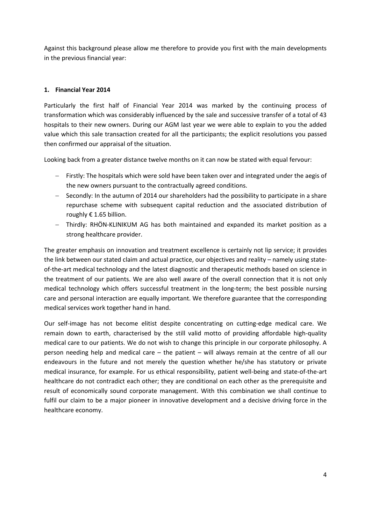Against this background please allow me therefore to provide you first with the main developments in the previous financial year:

# **1. Financial Year 2014**

Particularly the first half of Financial Year 2014 was marked by the continuing process of transformation which was considerably influenced by the sale and successive transfer of a total of 43 hospitals to their new owners. During our AGM last year we were able to explain to you the added value which this sale transaction created for all the participants; the explicit resolutions you passed then confirmed our appraisal of the situation.

Looking back from a greater distance twelve months on it can now be stated with equal fervour:

- Firstly: The hospitals which were sold have been taken over and integrated under the aegis of the new owners pursuant to the contractually agreed conditions.
- $-$  Secondly: In the autumn of 2014 our shareholders had the possibility to participate in a share repurchase scheme with subsequent capital reduction and the associated distribution of roughly € 1.65 billion.
- Thirdly: RHÖN-KLINIKUM AG has both maintained and expanded its market position as a strong healthcare provider.

The greater emphasis on innovation and treatment excellence is certainly not lip service; it provides the link between our stated claim and actual practice, our objectives and reality – namely using stateof-the-art medical technology and the latest diagnostic and therapeutic methods based on science in the treatment of our patients. We are also well aware of the overall connection that it is not only medical technology which offers successful treatment in the long-term; the best possible nursing care and personal interaction are equally important. We therefore guarantee that the corresponding medical services work together hand in hand.

Our self-image has not become elitist despite concentrating on cutting-edge medical care. We remain down to earth, characterised by the still valid motto of providing affordable high-quality medical care to our patients. We do not wish to change this principle in our corporate philosophy. A person needing help and medical care – the patient – will always remain at the centre of all our endeavours in the future and not merely the question whether he/she has statutory or private medical insurance, for example. For us ethical responsibility, patient well-being and state-of-the-art healthcare do not contradict each other; they are conditional on each other as the prerequisite and result of economically sound corporate management. With this combination we shall continue to fulfil our claim to be a major pioneer in innovative development and a decisive driving force in the healthcare economy.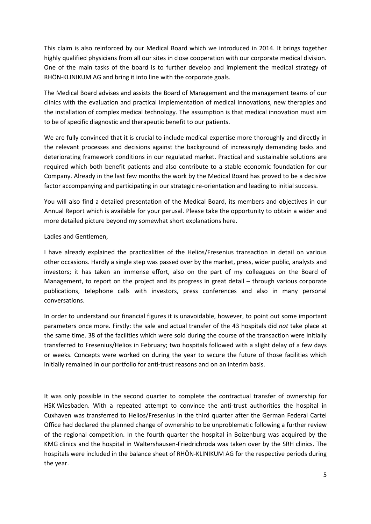This claim is also reinforced by our Medical Board which we introduced in 2014. It brings together highly qualified physicians from all our sites in close cooperation with our corporate medical division. One of the main tasks of the board is to further develop and implement the medical strategy of RHÖN-KLINIKUM AG and bring it into line with the corporate goals.

The Medical Board advises and assists the Board of Management and the management teams of our clinics with the evaluation and practical implementation of medical innovations, new therapies and the installation of complex medical technology. The assumption is that medical innovation must aim to be of specific diagnostic and therapeutic benefit to our patients.

We are fully convinced that it is crucial to include medical expertise more thoroughly and directly in the relevant processes and decisions against the background of increasingly demanding tasks and deteriorating framework conditions in our regulated market. Practical and sustainable solutions are required which both benefit patients and also contribute to a stable economic foundation for our Company. Already in the last few months the work by the Medical Board has proved to be a decisive factor accompanying and participating in our strategic re-orientation and leading to initial success.

You will also find a detailed presentation of the Medical Board, its members and objectives in our Annual Report which is available for your perusal. Please take the opportunity to obtain a wider and more detailed picture beyond my somewhat short explanations here.

# Ladies and Gentlemen,

I have already explained the practicalities of the Helios/Fresenius transaction in detail on various other occasions. Hardly a single step was passed over by the market, press, wider public, analysts and investors; it has taken an immense effort, also on the part of my colleagues on the Board of Management, to report on the project and its progress in great detail – through various corporate publications, telephone calls with investors, press conferences and also in many personal conversations.

In order to understand our financial figures it is unavoidable, however, to point out some important parameters once more. Firstly: the sale and actual transfer of the 43 hospitals did *not* take place at the same time. 38 of the facilities which were sold during the course of the transaction were initially transferred to Fresenius/Helios in February; two hospitals followed with a slight delay of a few days or weeks. Concepts were worked on during the year to secure the future of those facilities which initially remained in our portfolio for anti-trust reasons and on an interim basis.

It was only possible in the second quarter to complete the contractual transfer of ownership for HSK Wiesbaden. With a repeated attempt to convince the anti-trust authorities the hospital in Cuxhaven was transferred to Helios/Fresenius in the third quarter after the German Federal Cartel Office had declared the planned change of ownership to be unproblematic following a further review of the regional competition. In the fourth quarter the hospital in Boizenburg was acquired by the KMG clinics and the hospital in Waltershausen-Friedrichroda was taken over by the SRH clinics. The hospitals were included in the balance sheet of RHÖN-KLINIKUM AG for the respective periods during the year.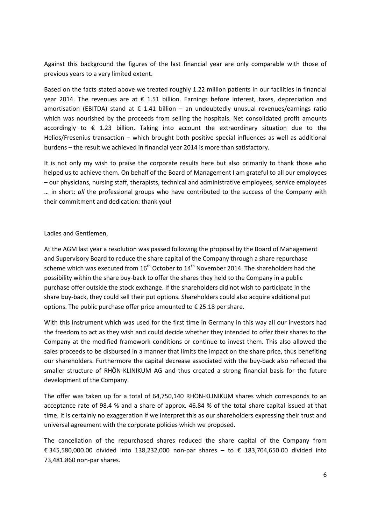Against this background the figures of the last financial year are only comparable with those of previous years to a very limited extent.

Based on the facts stated above we treated roughly 1.22 million patients in our facilities in financial year 2014. The revenues are at  $\epsilon$  1.51 billion. Earnings before interest, taxes, depreciation and amortisation (EBITDA) stand at  $\epsilon$  1.41 billion – an undoubtedly unusual revenues/earnings ratio which was nourished by the proceeds from selling the hospitals. Net consolidated profit amounts accordingly to  $\epsilon$  1.23 billion. Taking into account the extraordinary situation due to the Helios/Fresenius transaction – which brought both positive special influences as well as additional burdens – the result we achieved in financial year 2014 is more than satisfactory.

It is not only my wish to praise the corporate results here but also primarily to thank those who helped us to achieve them. On behalf of the Board of Management I am grateful to all our employees – our physicians, nursing staff, therapists, technical and administrative employees, service employees … in short: *all* the professional groups who have contributed to the success of the Company with their commitment and dedication: thank you!

#### Ladies and Gentlemen,

At the AGM last year a resolution was passed following the proposal by the Board of Management and Supervisory Board to reduce the share capital of the Company through a share repurchase scheme which was executed from  $16<sup>th</sup>$  October to  $14<sup>th</sup>$  November 2014. The shareholders had the possibility within the share buy-back to offer the shares they held to the Company in a public purchase offer outside the stock exchange. If the shareholders did not wish to participate in the share buy-back, they could sell their put options. Shareholders could also acquire additional put options. The public purchase offer price amounted to  $\epsilon$  25.18 per share.

With this instrument which was used for the first time in Germany in this way all our investors had the freedom to act as they wish and could decide whether they intended to offer their shares to the Company at the modified framework conditions or continue to invest them. This also allowed the sales proceeds to be disbursed in a manner that limits the impact on the share price, thus benefiting our shareholders. Furthermore the capital decrease associated with the buy-back also reflected the smaller structure of RHÖN-KLINIKUM AG and thus created a strong financial basis for the future development of the Company.

The offer was taken up for a total of 64,750,140 RHÖN-KLINIKUM shares which corresponds to an acceptance rate of 98.4 % and a share of approx. 46.84 % of the total share capital issued at that time. It is certainly no exaggeration if we interpret this as our shareholders expressing their trust and universal agreement with the corporate policies which we proposed.

The cancellation of the repurchased shares reduced the share capital of the Company from € 345,580,000.00 divided into 138,232,000 non-par shares – to € 183,704,650.00 divided into 73,481.860 non-par shares.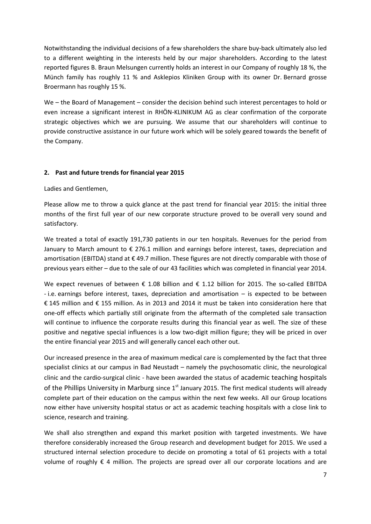Notwithstanding the individual decisions of a few shareholders the share buy-back ultimately also led to a different weighting in the interests held by our major shareholders. According to the latest reported figures B. Braun Melsungen currently holds an interest in our Company of roughly 18 %, the Münch family has roughly 11 % and Asklepios Kliniken Group with its owner Dr. Bernard grosse Broermann has roughly 15 %.

We – the Board of Management – consider the decision behind such interest percentages to hold or even increase a significant interest in RHÖN-KLINIKUM AG as clear confirmation of the corporate strategic objectives which we are pursuing. We assume that our shareholders will continue to provide constructive assistance in our future work which will be solely geared towards the benefit of the Company.

# **2. Past and future trends for financial year 2015**

Ladies and Gentlemen,

Please allow me to throw a quick glance at the past trend for financial year 2015: the initial three months of the first full year of our new corporate structure proved to be overall very sound and satisfactory.

We treated a total of exactly 191,730 patients in our ten hospitals. Revenues for the period from January to March amount to  $\epsilon$  276.1 million and earnings before interest, taxes, depreciation and amortisation (EBITDA) stand at € 49.7 million. These figures are not directly comparable with those of previous years either – due to the sale of our 43 facilities which was completed in financial year 2014.

We expect revenues of between  $\epsilon$  1.08 billion and  $\epsilon$  1.12 billion for 2015. The so-called EBITDA - i.e. earnings before interest, taxes, depreciation and amortisation – is expected to be between € 145 million and € 155 million. As in 2013 and 2014 it must be taken into consideration here that one-off effects which partially still originate from the aftermath of the completed sale transaction will continue to influence the corporate results during this financial year as well. The size of these positive and negative special influences is a low two-digit million figure; they will be priced in over the entire financial year 2015 and will generally cancel each other out.

Our increased presence in the area of maximum medical care is complemented by the fact that three specialist clinics at our campus in Bad Neustadt – namely the psychosomatic clinic, the neurological clinic and the cardio-surgical clinic - have been awarded the status of academic teaching hospitals of the Phillips University in Marburg since  $1<sup>st</sup>$  January 2015. The first medical students will already complete part of their education on the campus within the next few weeks. All our Group locations now either have university hospital status or act as academic teaching hospitals with a close link to science, research and training.

We shall also strengthen and expand this market position with targeted investments. We have therefore considerably increased the Group research and development budget for 2015. We used a structured internal selection procedure to decide on promoting a total of 61 projects with a total volume of roughly  $\epsilon$  4 million. The projects are spread over all our corporate locations and are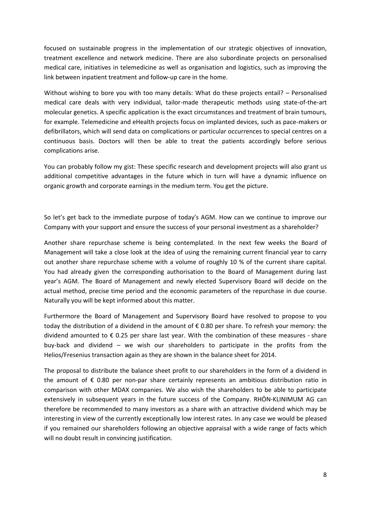focused on sustainable progress in the implementation of our strategic objectives of innovation, treatment excellence and network medicine. There are also subordinate projects on personalised medical care, initiatives in telemedicine as well as organisation and logistics, such as improving the link between inpatient treatment and follow-up care in the home.

Without wishing to bore you with too many details: What do these projects entail? – Personalised medical care deals with very individual, tailor-made therapeutic methods using state-of-the-art molecular genetics. A specific application is the exact circumstances and treatment of brain tumours, for example. Telemedicine and eHealth projects focus on implanted devices, such as pace-makers or defibrillators, which will send data on complications or particular occurrences to special centres on a continuous basis. Doctors will then be able to treat the patients accordingly before serious complications arise.

You can probably follow my gist: These specific research and development projects will also grant us additional competitive advantages in the future which in turn will have a dynamic influence on organic growth and corporate earnings in the medium term. You get the picture.

So let's get back to the immediate purpose of today's AGM. How can we continue to improve our Company with your support and ensure the success of your personal investment as a shareholder?

Another share repurchase scheme is being contemplated. In the next few weeks the Board of Management will take a close look at the idea of using the remaining current financial year to carry out another share repurchase scheme with a volume of roughly 10 % of the current share capital. You had already given the corresponding authorisation to the Board of Management during last year's AGM. The Board of Management and newly elected Supervisory Board will decide on the actual method, precise time period and the economic parameters of the repurchase in due course. Naturally you will be kept informed about this matter.

Furthermore the Board of Management and Supervisory Board have resolved to propose to you today the distribution of a dividend in the amount of € 0.80 per share. To refresh your memory: the dividend amounted to  $\epsilon$  0.25 per share last year. With the combination of these measures - share buy-back and dividend – we wish our shareholders to participate in the profits from the Helios/Fresenius transaction again as they are shown in the balance sheet for 2014.

The proposal to distribute the balance sheet profit to our shareholders in the form of a dividend in the amount of € 0.80 per non-par share certainly represents an ambitious distribution ratio in comparison with other MDAX companies. We also wish the shareholders to be able to participate extensively in subsequent years in the future success of the Company. RHÖN-KLINIMUM AG can therefore be recommended to many investors as a share with an attractive dividend which may be interesting in view of the currently exceptionally low interest rates. In any case we would be pleased if you remained our shareholders following an objective appraisal with a wide range of facts which will no doubt result in convincing justification.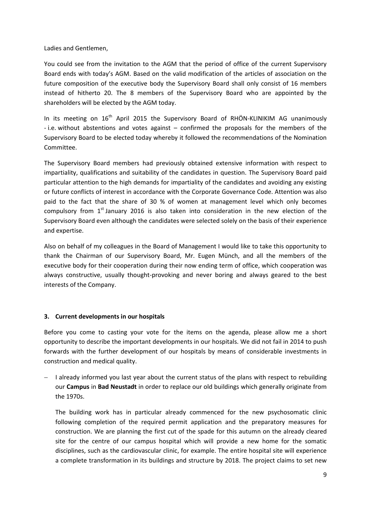Ladies and Gentlemen,

You could see from the invitation to the AGM that the period of office of the current Supervisory Board ends with today's AGM. Based on the valid modification of the articles of association on the future composition of the executive body the Supervisory Board shall only consist of 16 members instead of hitherto 20. The 8 members of the Supervisory Board who are appointed by the shareholders will be elected by the AGM today.

In its meeting on  $16<sup>th</sup>$  April 2015 the Supervisory Board of RHÖN-KLINIKIM AG unanimously - i.e. without abstentions and votes against – confirmed the proposals for the members of the Supervisory Board to be elected today whereby it followed the recommendations of the Nomination Committee.

The Supervisory Board members had previously obtained extensive information with respect to impartiality, qualifications and suitability of the candidates in question. The Supervisory Board paid particular attention to the high demands for impartiality of the candidates and avoiding any existing or future conflicts of interest in accordance with the Corporate Governance Code. Attention was also paid to the fact that the share of 30 % of women at management level which only becomes compulsory from  $1<sup>st</sup>$  January 2016 is also taken into consideration in the new election of the Supervisory Board even although the candidates were selected solely on the basis of their experience and expertise.

Also on behalf of my colleagues in the Board of Management I would like to take this opportunity to thank the Chairman of our Supervisory Board, Mr. Eugen Münch, and all the members of the executive body for their cooperation during their now ending term of office, which cooperation was always constructive, usually thought-provoking and never boring and always geared to the best interests of the Company.

#### **3. Current developments in our hospitals**

Before you come to casting your vote for the items on the agenda, please allow me a short opportunity to describe the important developments in our hospitals. We did not fail in 2014 to push forwards with the further development of our hospitals by means of considerable investments in construction and medical quality.

 $-$  I already informed you last year about the current status of the plans with respect to rebuilding our **Campus** in **Bad Neustadt** in order to replace our old buildings which generally originate from the 1970s.

The building work has in particular already commenced for the new psychosomatic clinic following completion of the required permit application and the preparatory measures for construction. We are planning the first cut of the spade for this autumn on the already cleared site for the centre of our campus hospital which will provide a new home for the somatic disciplines, such as the cardiovascular clinic, for example. The entire hospital site will experience a complete transformation in its buildings and structure by 2018. The project claims to set new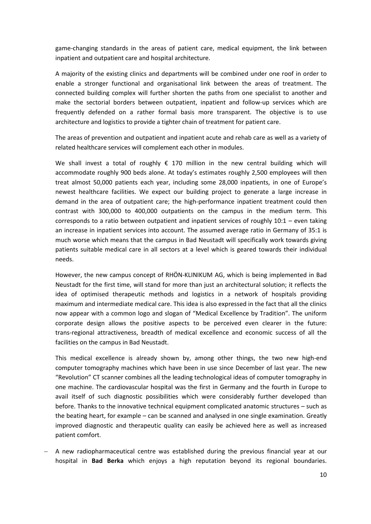game-changing standards in the areas of patient care, medical equipment, the link between inpatient and outpatient care and hospital architecture.

A majority of the existing clinics and departments will be combined under one roof in order to enable a stronger functional and organisational link between the areas of treatment. The connected building complex will further shorten the paths from one specialist to another and make the sectorial borders between outpatient, inpatient and follow-up services which are frequently defended on a rather formal basis more transparent. The objective is to use architecture and logistics to provide a tighter chain of treatment for patient care.

The areas of prevention and outpatient and inpatient acute and rehab care as well as a variety of related healthcare services will complement each other in modules.

We shall invest a total of roughly  $\epsilon$  170 million in the new central building which will accommodate roughly 900 beds alone. At today's estimates roughly 2,500 employees will then treat almost 50,000 patients each year, including some 28,000 inpatients, in one of Europe's newest healthcare facilities. We expect our building project to generate a large increase in demand in the area of outpatient care; the high-performance inpatient treatment could then contrast with 300,000 to 400,000 outpatients on the campus in the medium term. This corresponds to a ratio between outpatient and inpatient services of roughly 10:1 – even taking an increase in inpatient services into account. The assumed average ratio in Germany of 35:1 is much worse which means that the campus in Bad Neustadt will specifically work towards giving patients suitable medical care in all sectors at a level which is geared towards their individual needs.

However, the new campus concept of RHÖN-KLINIKUM AG, which is being implemented in Bad Neustadt for the first time, will stand for more than just an architectural solution; it reflects the idea of optimised therapeutic methods and logistics in a network of hospitals providing maximum and intermediate medical care. This idea is also expressed in the fact that all the clinics now appear with a common logo and slogan of "Medical Excellence by Tradition". The uniform corporate design allows the positive aspects to be perceived even clearer in the future: trans-regional attractiveness, breadth of medical excellence and economic success of all the facilities on the campus in Bad Neustadt.

This medical excellence is already shown by, among other things, the two new high-end computer tomography machines which have been in use since December of last year. The new "Revolution" CT scanner combines all the leading technological ideas of computer tomography in one machine. The cardiovascular hospital was the first in Germany and the fourth in Europe to avail itself of such diagnostic possibilities which were considerably further developed than before. Thanks to the innovative technical equipment complicated anatomic structures – such as the beating heart, for example – can be scanned and analysed in one single examination. Greatly improved diagnostic and therapeutic quality can easily be achieved here as well as increased patient comfort.

 A new radiopharmaceutical centre was established during the previous financial year at our hospital in **Bad Berka** which enjoys a high reputation beyond its regional boundaries.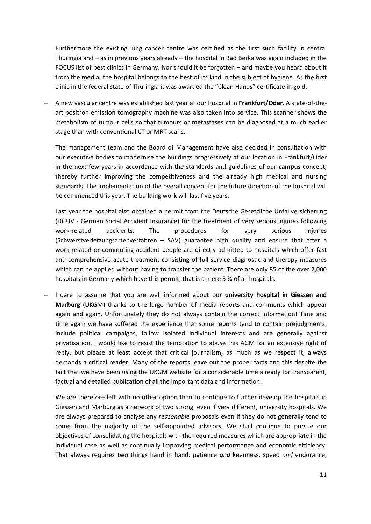Furthermore the existing lung cancer centre was certified as the first such facility in central Thuringia and – as in previous years already – the hospital in Bad Berka was again included in the FOCUS list of best clinics in Germany. Nor should it be forgotten – and maybe you heard about it from the media: the hospital belongs to the best of its kind in the subject of hygiene. As the first clinic in the federal state of Thuringia it was awarded the "Clean Hands" certificate in gold.

 A new vascular centre was established last year at our hospital in **Frankfurt/Oder**. A state-of-theart positron emission tomography machine was also taken into service. This scanner shows the metabolism of tumour cells so that tumours or metastases can be diagnosed at a much earlier stage than with conventional CT or MRT scans.

The management team and the Board of Management have also decided in consultation with our executive bodies to modernise the buildings progressively at our location in Frankfurt/Oder in the next few years in accordance with the standards and guidelines of our **campus** concept, thereby further improving the competitiveness and the already high medical and nursing standards. The implementation of the overall concept for the future direction of the hospital will be commenced this year. The building work will last five years.

Last year the hospital also obtained a permit from the Deutsche Gesetzliche Unfallversicherung (DGUV - German Social Accident Insurance) for the treatment of very serious injuries following work-related accidents. The procedures for very serious injuries (Schwerstverletzungsartenverfahren – SAV) guarantee high quality and ensure that after a work-related or commuting accident people are directly admitted to hospitals which offer fast and comprehensive acute treatment consisting of full-service diagnostic and therapy measures which can be applied without having to transfer the patient. There are only 85 of the over 2,000 hospitals in Germany which have this permit; that is a mere 5 % of all hospitals.

 I dare to assume that you are well informed about our **university hospital in Giessen and Marburg** (UKGM) thanks to the large number of media reports and comments which appear again and again. Unfortunately they do not always contain the correct information! Time and time again we have suffered the experience that some reports tend to contain prejudgments, include political campaigns, follow isolated individual interests and are generally against privatisation. I would like to resist the temptation to abuse this AGM for an extensive right of reply, but please at least accept that critical journalism, as much as we respect it, always demands a critical reader. Many of the reports leave out the proper facts and this despite the fact that we have been using the UKGM website for a considerable time already for transparent, factual and detailed publication of all the important data and information.

We are therefore left with no other option than to continue to further develop the hospitals in Giessen and Marburg as a network of two strong, even if very different, university hospitals. We are always prepared to analyse any *reasonable* proposals even if they do not generally tend to come from the majority of the self-appointed advisors. We shall continue to pursue our objectives of consolidating the hospitals with the required measures which are appropriate in the individual case as well as continually improving medical performance and economic efficiency. That always requires two things hand in hand: patience *and* keenness, speed *and* endurance,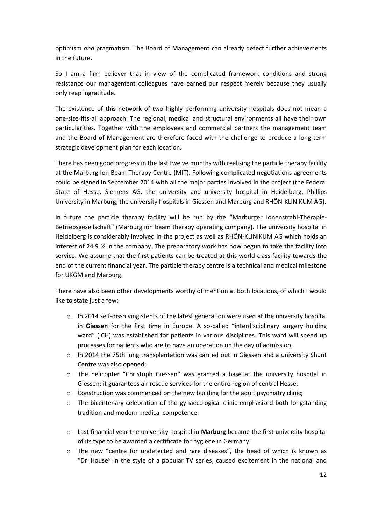optimism *and* pragmatism. The Board of Management can already detect further achievements in the future.

So I am a firm believer that in view of the complicated framework conditions and strong resistance our management colleagues have earned our respect merely because they usually only reap ingratitude.

The existence of this network of two highly performing university hospitals does not mean a one-size-fits-all approach. The regional, medical and structural environments all have their own particularities. Together with the employees and commercial partners the management team and the Board of Management are therefore faced with the challenge to produce a long-term strategic development plan for each location.

There has been good progress in the last twelve months with realising the particle therapy facility at the Marburg Ion Beam Therapy Centre (MIT). Following complicated negotiations agreements could be signed in September 2014 with all the major parties involved in the project (the Federal State of Hesse, Siemens AG, the university and university hospital in Heidelberg, Phillips University in Marburg, the university hospitals in Giessen and Marburg and RHÖN-KLINIKUM AG).

In future the particle therapy facility will be run by the "Marburger Ionenstrahl-Therapie-Betriebsgesellschaft" (Marburg ion beam therapy operating company). The university hospital in Heidelberg is considerably involved in the project as well as RHÖN-KLINIKUM AG which holds an interest of 24.9 % in the company. The preparatory work has now begun to take the facility into service. We assume that the first patients can be treated at this world-class facility towards the end of the current financial year. The particle therapy centre is a technical and medical milestone for UKGM and Marburg.

There have also been other developments worthy of mention at both locations, of which I would like to state just a few:

- o In 2014 self-dissolving stents of the latest generation were used at the university hospital in **Giessen** for the first time in Europe. A so-called "interdisciplinary surgery holding ward" (ICH) was established for patients in various disciplines. This ward will speed up processes for patients who are to have an operation on the day of admission;
- o In 2014 the 75th lung transplantation was carried out in Giessen and a university Shunt Centre was also opened;
- o The helicopter "Christoph Giessen" was granted a base at the university hospital in Giessen; it guarantees air rescue services for the entire region of central Hesse;
- $\circ$  Construction was commenced on the new building for the adult psychiatry clinic;
- $\circ$  The bicentenary celebration of the gynaecological clinic emphasized both longstanding tradition and modern medical competence.
- o Last financial year the university hospital in **Marburg** became the first university hospital of its type to be awarded a certificate for hygiene in Germany;
- o The new "centre for undetected and rare diseases", the head of which is known as "Dr. House" in the style of a popular TV series, caused excitement in the national and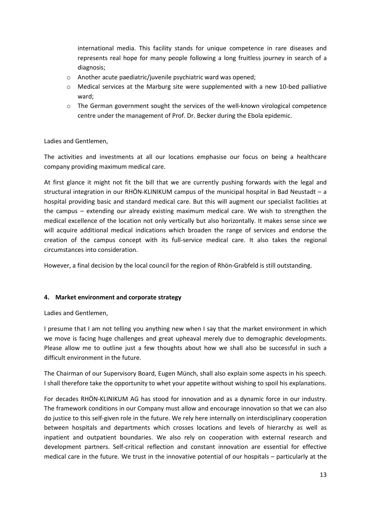international media. This facility stands for unique competence in rare diseases and represents real hope for many people following a long fruitless journey in search of a diagnosis;

- o Another acute paediatric/juvenile psychiatric ward was opened;
- $\circ$  Medical services at the Marburg site were supplemented with a new 10-bed palliative ward;
- $\circ$  The German government sought the services of the well-known virological competence centre under the management of Prof. Dr. Becker during the Ebola epidemic.

### Ladies and Gentlemen,

The activities and investments at all our locations emphasise our focus on being a healthcare company providing maximum medical care.

At first glance it might not fit the bill that we are currently pushing forwards with the legal and structural integration in our RHÖN-KLINIKUM campus of the municipal hospital in Bad Neustadt – a hospital providing basic and standard medical care. But this will augment our specialist facilities at the campus – extending our already existing maximum medical care. We wish to strengthen the medical excellence of the location not only vertically but also horizontally. It makes sense since we will acquire additional medical indications which broaden the range of services and endorse the creation of the campus concept with its full-service medical care. It also takes the regional circumstances into consideration.

However, a final decision by the local council for the region of Rhön-Grabfeld is still outstanding.

#### **4. Market environment and corporate strategy**

#### Ladies and Gentlemen,

I presume that I am not telling you anything new when I say that the market environment in which we move is facing huge challenges and great upheaval merely due to demographic developments. Please allow me to outline just a few thoughts about how we shall also be successful in such a difficult environment in the future.

The Chairman of our Supervisory Board, Eugen Münch, shall also explain some aspects in his speech. I shall therefore take the opportunity to whet your appetite without wishing to spoil his explanations.

For decades RHÖN-KLINIKUM AG has stood for innovation and as a dynamic force in our industry. The framework conditions in our Company must allow and encourage innovation so that we can also do justice to this self-given role in the future. We rely here internally on interdisciplinary cooperation between hospitals and departments which crosses locations and levels of hierarchy as well as inpatient and outpatient boundaries. We also rely on cooperation with external research and development partners. Self-critical reflection and constant innovation are essential for effective medical care in the future. We trust in the innovative potential of our hospitals – particularly at the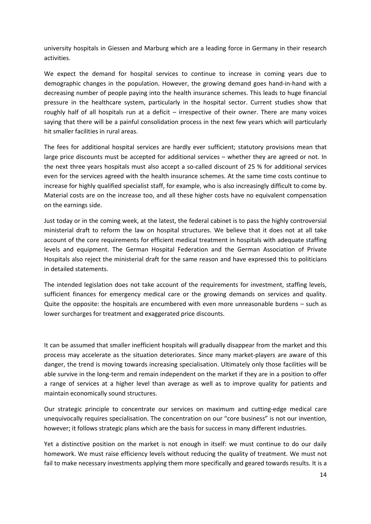university hospitals in Giessen and Marburg which are a leading force in Germany in their research activities.

We expect the demand for hospital services to continue to increase in coming years due to demographic changes in the population. However, the growing demand goes hand-in-hand with a decreasing number of people paying into the health insurance schemes. This leads to huge financial pressure in the healthcare system, particularly in the hospital sector. Current studies show that roughly half of all hospitals run at a deficit – irrespective of their owner. There are many voices saying that there will be a painful consolidation process in the next few years which will particularly hit smaller facilities in rural areas.

The fees for additional hospital services are hardly ever sufficient; statutory provisions mean that large price discounts must be accepted for additional services – whether they are agreed or not. In the next three years hospitals must also accept a so-called discount of 25 % for additional services even for the services agreed with the health insurance schemes. At the same time costs continue to increase for highly qualified specialist staff, for example, who is also increasingly difficult to come by. Material costs are on the increase too, and all these higher costs have no equivalent compensation on the earnings side.

Just today or in the coming week, at the latest, the federal cabinet is to pass the highly controversial ministerial draft to reform the law on hospital structures. We believe that it does not at all take account of the core requirements for efficient medical treatment in hospitals with adequate staffing levels and equipment. The German Hospital Federation and the German Association of Private Hospitals also reject the ministerial draft for the same reason and have expressed this to politicians in detailed statements.

The intended legislation does not take account of the requirements for investment, staffing levels, sufficient finances for emergency medical care or the growing demands on services and quality. Quite the opposite: the hospitals are encumbered with even more unreasonable burdens – such as lower surcharges for treatment and exaggerated price discounts.

It can be assumed that smaller inefficient hospitals will gradually disappear from the market and this process may accelerate as the situation deteriorates. Since many market-players are aware of this danger, the trend is moving towards increasing specialisation. Ultimately only those facilities will be able survive in the long-term and remain independent on the market if they are in a position to offer a range of services at a higher level than average as well as to improve quality for patients and maintain economically sound structures.

Our strategic principle to concentrate our services on maximum and cutting-edge medical care unequivocally requires specialisation. The concentration on our "core business" is not our invention, however; it follows strategic plans which are the basis for success in many different industries.

Yet a distinctive position on the market is not enough in itself: we must continue to do our daily homework. We must raise efficiency levels without reducing the quality of treatment. We must not fail to make necessary investments applying them more specifically and geared towards results. It is a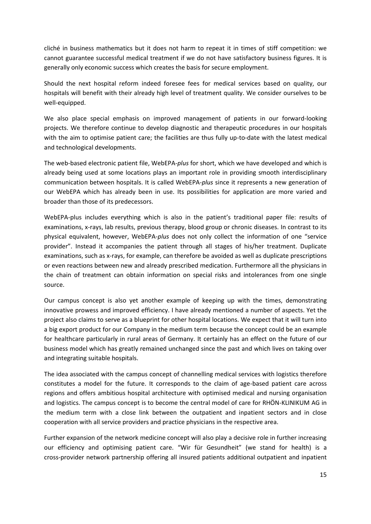cliché in business mathematics but it does not harm to repeat it in times of stiff competition: we cannot guarantee successful medical treatment if we do not have satisfactory business figures. It is generally only economic success which creates the basis for secure employment.

Should the next hospital reform indeed foresee fees for medical services based on quality, our hospitals will benefit with their already high level of treatment quality. We consider ourselves to be well-equipped.

We also place special emphasis on improved management of patients in our forward-looking projects. We therefore continue to develop diagnostic and therapeutic procedures in our hospitals with the aim to optimise patient care; the facilities are thus fully up-to-date with the latest medical and technological developments.

The web-based electronic patient file, WebEPA-*plus* for short, which we have developed and which is already being used at some locations plays an important role in providing smooth interdisciplinary communication between hospitals. It is called WebEPA-*plus* since it represents a new generation of our WebEPA which has already been in use. Its possibilities for application are more varied and broader than those of its predecessors.

WebEPA-plus includes everything which is also in the patient's traditional paper file: results of examinations, x-rays, lab results, previous therapy, blood group or chronic diseases. In contrast to its physical equivalent, however, WebEPA-*plus* does not only collect the information of one "service provider". Instead it accompanies the patient through all stages of his/her treatment. Duplicate examinations, such as x-rays, for example, can therefore be avoided as well as duplicate prescriptions or even reactions between new and already prescribed medication. Furthermore all the physicians in the chain of treatment can obtain information on special risks and intolerances from one single source.

Our campus concept is also yet another example of keeping up with the times, demonstrating innovative prowess and improved efficiency. I have already mentioned a number of aspects. Yet the project also claims to serve as a blueprint for other hospital locations. We expect that it will turn into a big export product for our Company in the medium term because the concept could be an example for healthcare particularly in rural areas of Germany. It certainly has an effect on the future of our business model which has greatly remained unchanged since the past and which lives on taking over and integrating suitable hospitals.

The idea associated with the campus concept of channelling medical services with logistics therefore constitutes a model for the future. It corresponds to the claim of age-based patient care across regions and offers ambitious hospital architecture with optimised medical and nursing organisation and logistics. The campus concept is to become the central model of care for RHÖN-KLINIKUM AG in the medium term with a close link between the outpatient and inpatient sectors and in close cooperation with all service providers and practice physicians in the respective area.

Further expansion of the network medicine concept will also play a decisive role in further increasing our efficiency and optimising patient care. "Wir für Gesundheit" (we stand for health) is a cross-provider network partnership offering all insured patients additional outpatient and inpatient